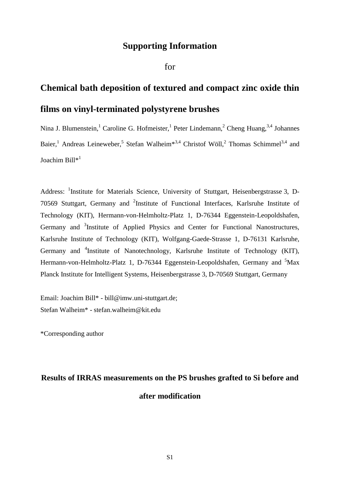## **Supporting Information**

for

## **Chemical bath deposition of textured and compact zinc oxide thin films on vinyl-terminated polystyrene brushes**

Nina J. Blumenstein, <sup>1</sup> Caroline G. Hofmeister, <sup>1</sup> Peter Lindemann, <sup>2</sup> Cheng Huang, <sup>3,4</sup> Johannes Baier,<sup>1</sup> Andreas Leineweber,<sup>5</sup> Stefan Walheim<sup>\*3,4</sup> Christof Wöll,<sup>2</sup> Thomas Schimmel<sup>3,4</sup> and Joachim Bill\*<sup>1</sup>

Address: <sup>1</sup>Institute for Materials Science, University of Stuttgart, Heisenbergstrasse 3, D-70569 Stuttgart, Germany and <sup>2</sup>Institute of Functional Interfaces, Karlsruhe Institute of Technology (KIT), Hermann-von-Helmholtz-Platz 1, D-76344 Eggenstein-Leopoldshafen, Germany and <sup>3</sup>Institute of Applied Physics and Center for Functional Nanostructures, Karlsruhe Institute of Technology (KIT), Wolfgang-Gaede-Strasse 1, D-76131 Karlsruhe, Germany and <sup>4</sup>Institute of Nanotechnology, Karlsruhe Institute of Technology (KIT), Hermann-von-Helmholtz-Platz 1, D-76344 Eggenstein-Leopoldshafen, Germany and <sup>5</sup>Max Planck Institute for Intelligent Systems, Heisenbergstrasse 3, D-70569 Stuttgart, Germany

Email: Joachim Bill\* - bill@imw.uni-stuttgart.de; Stefan Walheim\* - stefan.walheim@kit.edu

\*Corresponding author

## **Results of IRRAS measurements on the PS brushes grafted to Si before and after modification**